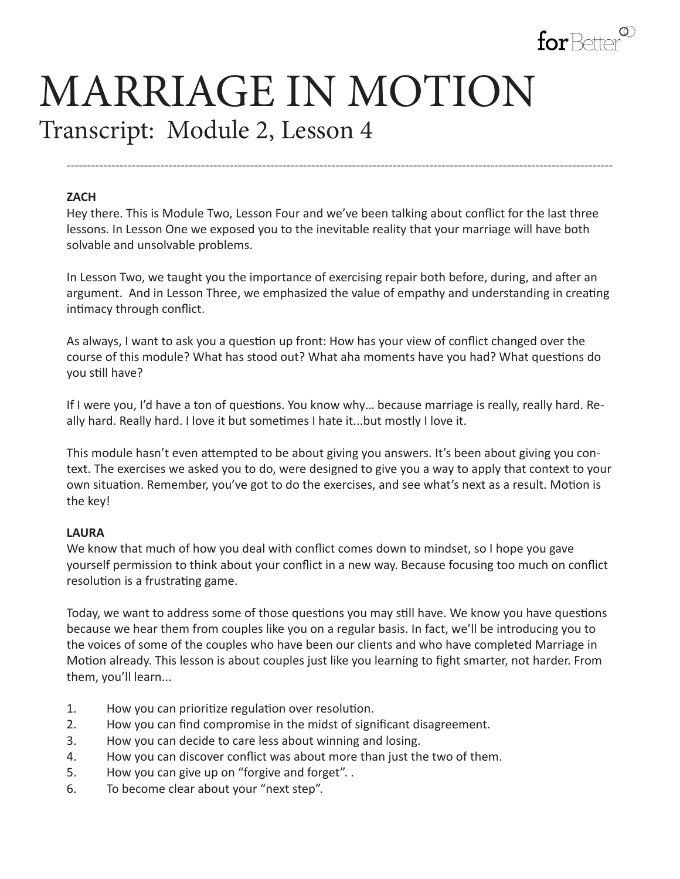

# MARRIAGE IN MOTION Transcript: Module 2, Lesson 4

#### **ZACH**

Hey there. This is Module Two, Lesson Four and we've been talking about conflict for the last three lessons. In Lesson One we exposed you to the inevitable reality that your marriage will have both solvable and unsolvable problems.

**--------------------------------------------------------------------------------------------------------------------------------------**

In Lesson Two, we taught you the importance of exercising repair both before, during, and after an argument. And in Lesson Three, we emphasized the value of empathy and understanding in creating intimacy through conflict.

As always, I want to ask you a question up front: How has your view of conflict changed over the course of this module? What has stood out? What aha moments have you had? What questions do you still have?

If I were you, I'd have a ton of questions. You know why… because marriage is really, really hard. Really hard. Really hard. I love it but sometimes I hate it...but mostly I love it.

This module hasn't even attempted to be about giving you answers. It's been about giving you context. The exercises we asked you to do, were designed to give you a way to apply that context to your own situation. Remember, you've got to do the exercises, and see what's next as a result. Motion is the key!

#### **LAURA**

We know that much of how you deal with conflict comes down to mindset, so I hope you gave yourself permission to think about your conflict in a new way. Because focusing too much on conflict resolution is a frustrating game.

Today, we want to address some of those questions you may still have. We know you have questions because we hear them from couples like you on a regular basis. In fact, we'll be introducing you to the voices of some of the couples who have been our clients and who have completed Marriage in Motion already. This lesson is about couples just like you learning to fight smarter, not harder. From them, you'll learn...

- 1. How you can prioritize regulation over resolution.
- 2. How you can find compromise in the midst of significant disagreement.
- 3. How you can decide to care less about winning and losing.
- 4. How you can discover conflict was about more than just the two of them.
- 5. How you can give up on "forgive and forget". .
- 6. To become clear about your "next step".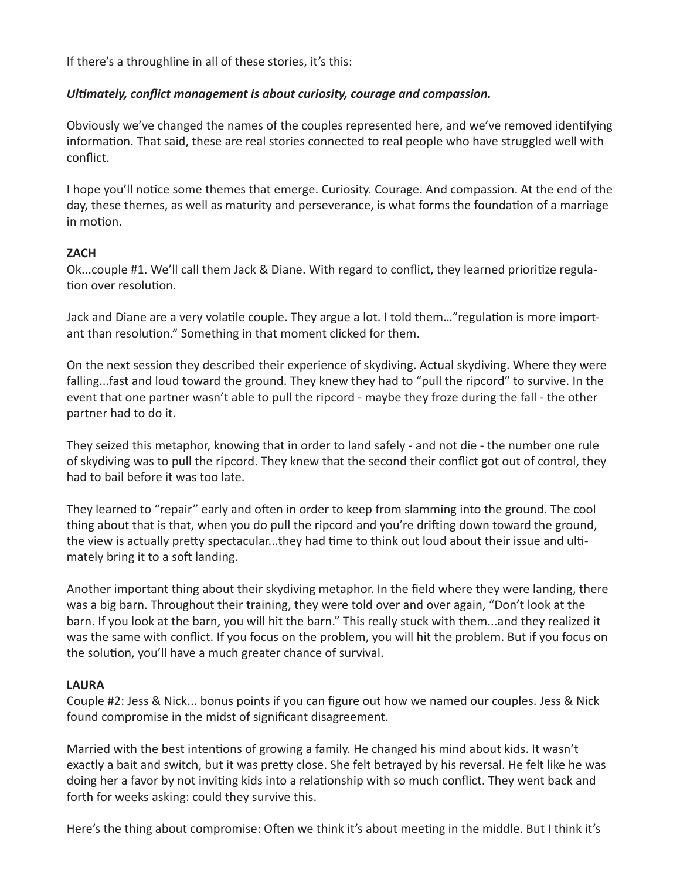If there's a throughline in all of these stories, it's this:

## *Ultimately, conflict management is about curiosity, courage and compassion.*

Obviously we've changed the names of the couples represented here, and we've removed identifying information. That said, these are real stories connected to real people who have struggled well with conflict.

I hope you'll notice some themes that emerge. Curiosity. Courage. And compassion. At the end of the day, these themes, as well as maturity and perseverance, is what forms the foundation of a marriage in motion.

## **ZACH**

Ok...couple #1. We'll call them Jack & Diane. With regard to conflict, they learned prioritize regulation over resolution.

Jack and Diane are a very volatile couple. They argue a lot. I told them…"regulation is more important than resolution." Something in that moment clicked for them.

On the next session they described their experience of skydiving. Actual skydiving. Where they were falling...fast and loud toward the ground. They knew they had to "pull the ripcord" to survive. In the event that one partner wasn't able to pull the ripcord - maybe they froze during the fall - the other partner had to do it.

They seized this metaphor, knowing that in order to land safely - and not die - the number one rule of skydiving was to pull the ripcord. They knew that the second their conflict got out of control, they had to bail before it was too late.

They learned to "repair" early and often in order to keep from slamming into the ground. The cool thing about that is that, when you do pull the ripcord and you're drifting down toward the ground, the view is actually pretty spectacular...they had time to think out loud about their issue and ultimately bring it to a soft landing.

Another important thing about their skydiving metaphor. In the field where they were landing, there was a big barn. Throughout their training, they were told over and over again, "Don't look at the barn. If you look at the barn, you will hit the barn." This really stuck with them...and they realized it was the same with conflict. If you focus on the problem, you will hit the problem. But if you focus on the solution, you'll have a much greater chance of survival.

#### **LAURA**

Couple #2: Jess & Nick... bonus points if you can figure out how we named our couples. Jess & Nick found compromise in the midst of significant disagreement.

Married with the best intentions of growing a family. He changed his mind about kids. It wasn't exactly a bait and switch, but it was pretty close. She felt betrayed by his reversal. He felt like he was doing her a favor by not inviting kids into a relationship with so much conflict. They went back and forth for weeks asking: could they survive this.

Here's the thing about compromise: Often we think it's about meeting in the middle. But I think it's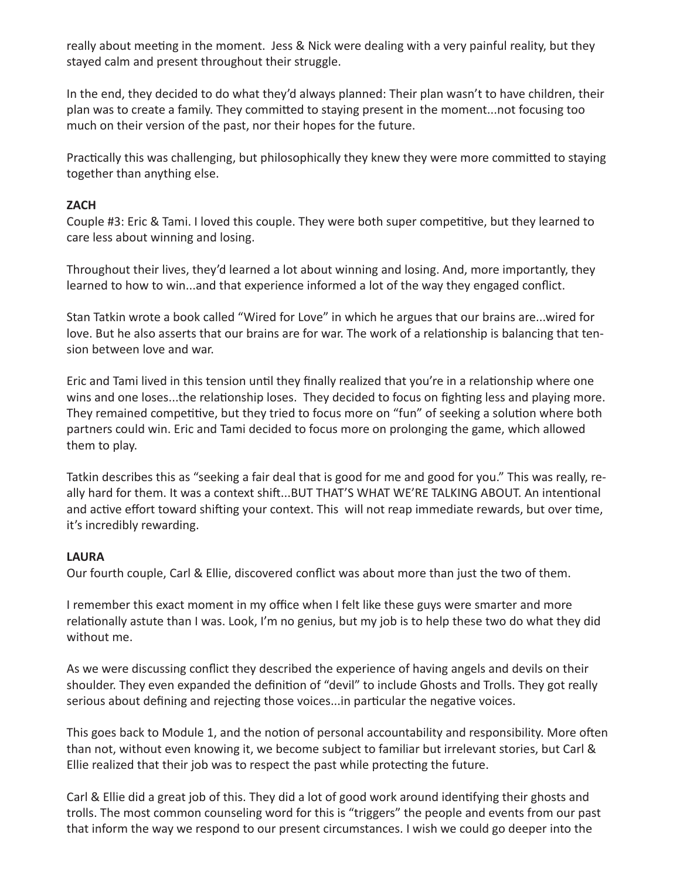really about meeting in the moment. Jess & Nick were dealing with a very painful reality, but they stayed calm and present throughout their struggle.

In the end, they decided to do what they'd always planned: Their plan wasn't to have children, their plan was to create a family. They committed to staying present in the moment...not focusing too much on their version of the past, nor their hopes for the future.

Practically this was challenging, but philosophically they knew they were more committed to staying together than anything else.

## **ZACH**

Couple #3: Eric & Tami. I loved this couple. They were both super competitive, but they learned to care less about winning and losing.

Throughout their lives, they'd learned a lot about winning and losing. And, more importantly, they learned to how to win...and that experience informed a lot of the way they engaged conflict.

Stan Tatkin wrote a book called "Wired for Love" in which he argues that our brains are...wired for love. But he also asserts that our brains are for war. The work of a relationship is balancing that tension between love and war.

Eric and Tami lived in this tension until they finally realized that you're in a relationship where one wins and one loses...the relationship loses. They decided to focus on fighting less and playing more. They remained competitive, but they tried to focus more on "fun" of seeking a solution where both partners could win. Eric and Tami decided to focus more on prolonging the game, which allowed them to play.

Tatkin describes this as "seeking a fair deal that is good for me and good for you." This was really, really hard for them. It was a context shift...BUT THAT'S WHAT WE'RE TALKING ABOUT. An intentional and active effort toward shifting your context. This will not reap immediate rewards, but over time, it's incredibly rewarding.

#### **LAURA**

Our fourth couple, Carl & Ellie, discovered conflict was about more than just the two of them.

I remember this exact moment in my office when I felt like these guys were smarter and more relationally astute than I was. Look, I'm no genius, but my job is to help these two do what they did without me.

As we were discussing conflict they described the experience of having angels and devils on their shoulder. They even expanded the definition of "devil" to include Ghosts and Trolls. They got really serious about defining and rejecting those voices...in particular the negative voices.

This goes back to Module 1, and the notion of personal accountability and responsibility. More often than not, without even knowing it, we become subject to familiar but irrelevant stories, but Carl & Ellie realized that their job was to respect the past while protecting the future.

Carl & Ellie did a great job of this. They did a lot of good work around identifying their ghosts and trolls. The most common counseling word for this is "triggers" the people and events from our past that inform the way we respond to our present circumstances. I wish we could go deeper into the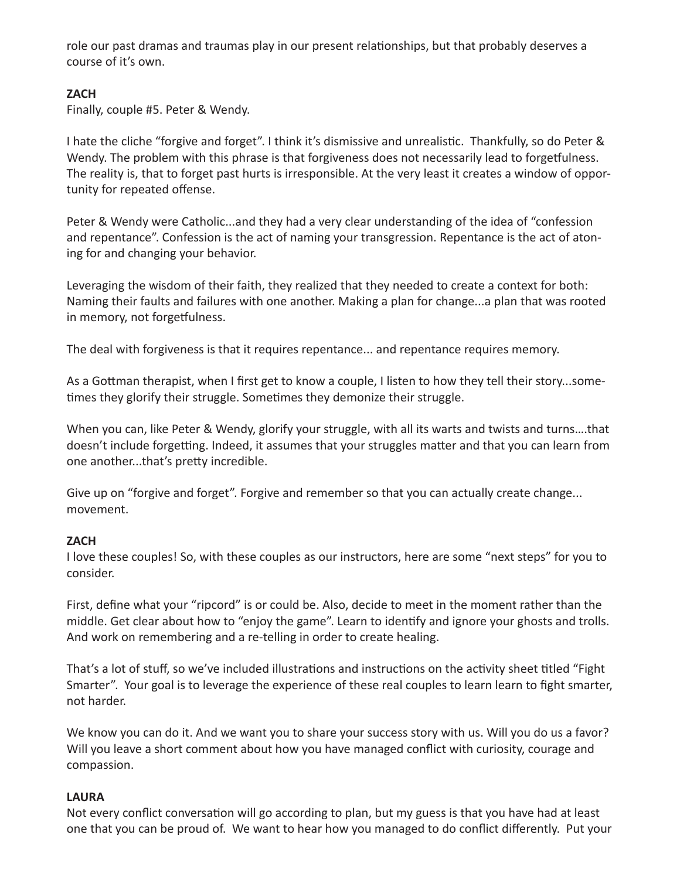role our past dramas and traumas play in our present relationships, but that probably deserves a course of it's own.

# **ZACH**

Finally, couple #5. Peter & Wendy.

I hate the cliche "forgive and forget". I think it's dismissive and unrealistic. Thankfully, so do Peter & Wendy. The problem with this phrase is that forgiveness does not necessarily lead to forgetfulness. The reality is, that to forget past hurts is irresponsible. At the very least it creates a window of opportunity for repeated offense.

Peter & Wendy were Catholic...and they had a very clear understanding of the idea of "confession and repentance". Confession is the act of naming your transgression. Repentance is the act of atoning for and changing your behavior.

Leveraging the wisdom of their faith, they realized that they needed to create a context for both: Naming their faults and failures with one another. Making a plan for change...a plan that was rooted in memory, not forgetfulness.

The deal with forgiveness is that it requires repentance... and repentance requires memory.

As a Gottman therapist, when I first get to know a couple, I listen to how they tell their story...sometimes they glorify their struggle. Sometimes they demonize their struggle.

When you can, like Peter & Wendy, glorify your struggle, with all its warts and twists and turns….that doesn't include forgetting. Indeed, it assumes that your struggles matter and that you can learn from one another...that's pretty incredible.

Give up on "forgive and forget". Forgive and remember so that you can actually create change... movement.

# **ZACH**

I love these couples! So, with these couples as our instructors, here are some "next steps" for you to consider.

First, define what your "ripcord" is or could be. Also, decide to meet in the moment rather than the middle. Get clear about how to "enjoy the game". Learn to identify and ignore your ghosts and trolls. And work on remembering and a re-telling in order to create healing.

That's a lot of stuff, so we've included illustrations and instructions on the activity sheet titled "Fight Smarter". Your goal is to leverage the experience of these real couples to learn learn to fight smarter, not harder.

We know you can do it. And we want you to share your success story with us. Will you do us a favor? Will you leave a short comment about how you have managed conflict with curiosity, courage and compassion.

# **LAURA**

Not every conflict conversation will go according to plan, but my guess is that you have had at least one that you can be proud of. We want to hear how you managed to do conflict differently. Put your